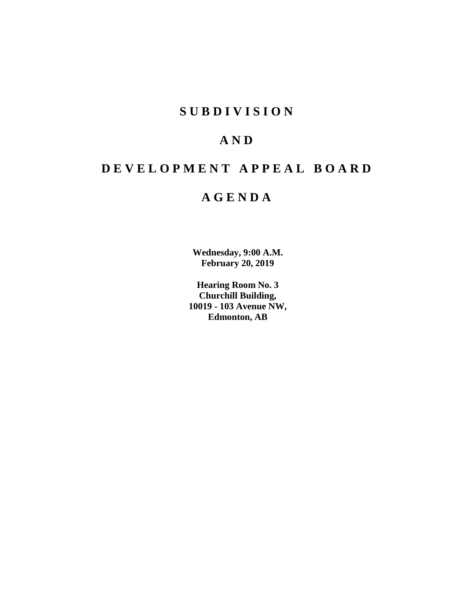## **SUBDIVISION**

## **AND**

# **DEVELOPMENT APPEAL BOARD**

## **AGENDA**

**Wednesday, 9:00 A.M. February 20, 2019**

**Hearing Room No. 3 Churchill Building, 10019 - 103 Avenue NW, Edmonton, AB**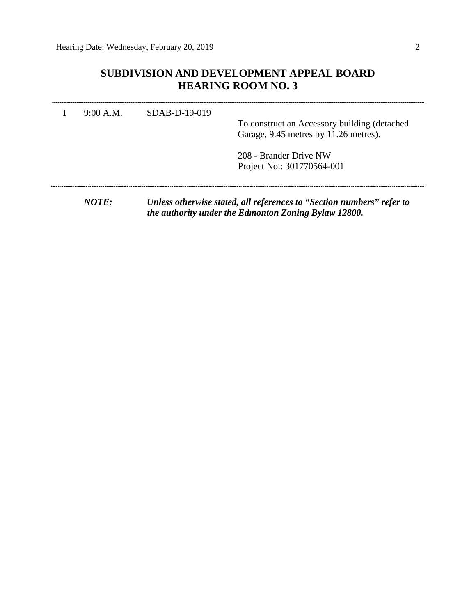## **SUBDIVISION AND DEVELOPMENT APPEAL BOARD HEARING ROOM NO. 3**

| 9:00 A.M.    | $SDAB-D-19-019$ |                                                                                       |
|--------------|-----------------|---------------------------------------------------------------------------------------|
|              |                 | To construct an Accessory building (detached<br>Garage, 9.45 metres by 11.26 metres). |
|              |                 | 208 - Brander Drive NW<br>Project No.: 301770564-001                                  |
| <i>NOTE:</i> |                 | Unless otherwise stated, all references to "Section numbers" refer to                 |

*the authority under the Edmonton Zoning Bylaw 12800.*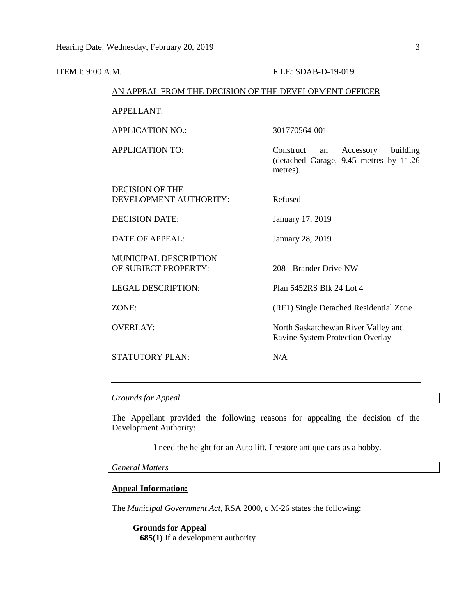| <u>ITEM I: 9:00 A.M.</u> |                                                        | FILE: SDAB-D-19-019                                                                            |  |  |
|--------------------------|--------------------------------------------------------|------------------------------------------------------------------------------------------------|--|--|
|                          | AN APPEAL FROM THE DECISION OF THE DEVELOPMENT OFFICER |                                                                                                |  |  |
|                          | <b>APPELLANT:</b>                                      |                                                                                                |  |  |
|                          | <b>APPLICATION NO.:</b>                                | 301770564-001                                                                                  |  |  |
|                          | <b>APPLICATION TO:</b>                                 | Construct<br>Accessory<br>building<br>an<br>(detached Garage, 9.45 metres by 11.26<br>metres). |  |  |
|                          | <b>DECISION OF THE</b><br>DEVELOPMENT AUTHORITY:       | Refused                                                                                        |  |  |
|                          | <b>DECISION DATE:</b>                                  | January 17, 2019                                                                               |  |  |
|                          | <b>DATE OF APPEAL:</b>                                 | January 28, 2019                                                                               |  |  |
|                          | MUNICIPAL DESCRIPTION<br>OF SUBJECT PROPERTY:          | 208 - Brander Drive NW                                                                         |  |  |
|                          | <b>LEGAL DESCRIPTION:</b>                              | Plan 5452RS Blk 24 Lot 4                                                                       |  |  |
|                          | ZONE:                                                  | (RF1) Single Detached Residential Zone                                                         |  |  |
|                          | <b>OVERLAY:</b>                                        | North Saskatchewan River Valley and<br>Ravine System Protection Overlay                        |  |  |
|                          | STATUTORY PLAN:                                        | N/A                                                                                            |  |  |
|                          |                                                        |                                                                                                |  |  |

*Grounds for Appeal*

The Appellant provided the following reasons for appealing the decision of the Development Authority:

I need the height for an Auto lift. I restore antique cars as a hobby.

*General Matters*

## **Appeal Information:**

The *Municipal Government Act*, RSA 2000, c M-26 states the following:

**Grounds for Appeal 685(1)** If a development authority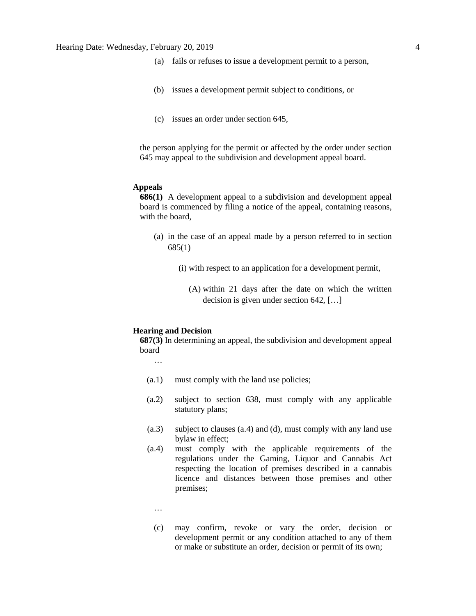### Hearing Date: Wednesday, February 20, 2019 4

- (a) fails or refuses to issue a development permit to a person,
- (b) issues a development permit subject to conditions, or
- (c) issues an order under section 645,

the person applying for the permit or affected by the order under section 645 may appeal to the subdivision and development appeal board.

### **Appeals**

**686(1)** A development appeal to a subdivision and development appeal board is commenced by filing a notice of the appeal, containing reasons, with the board,

- (a) in the case of an appeal made by a person referred to in section 685(1)
	- (i) with respect to an application for a development permit,
		- (A) within 21 days after the date on which the written decision is given under section 642, […]

### **Hearing and Decision**

**687(3)** In determining an appeal, the subdivision and development appeal board

…

- (a.1) must comply with the land use policies;
- (a.2) subject to section 638, must comply with any applicable statutory plans;
- (a.3) subject to clauses (a.4) and (d), must comply with any land use bylaw in effect;
- (a.4) must comply with the applicable requirements of the regulations under the Gaming, Liquor and Cannabis Act respecting the location of premises described in a cannabis licence and distances between those premises and other premises;
	- …
	- (c) may confirm, revoke or vary the order, decision or development permit or any condition attached to any of them or make or substitute an order, decision or permit of its own;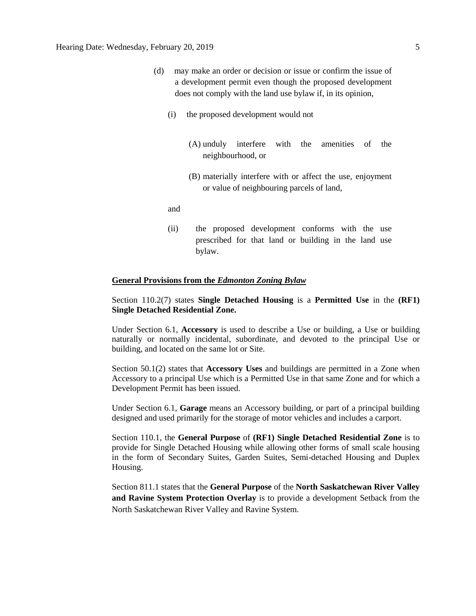- (d) may make an order or decision or issue or confirm the issue of a development permit even though the proposed development does not comply with the land use bylaw if, in its opinion,
	- (i) the proposed development would not
		- (A) unduly interfere with the amenities of the neighbourhood, or
		- (B) materially interfere with or affect the use, enjoyment or value of neighbouring parcels of land,

and

(ii) the proposed development conforms with the use prescribed for that land or building in the land use bylaw.

### **General Provisions from the** *Edmonton Zoning Bylaw*

## Section 110.2(7) states **Single Detached Housing** is a **Permitted Use** in the **(RF1) Single Detached Residential Zone.**

Under Section 6.1, **Accessory** is used to describe a Use or building, a Use or building naturally or normally incidental, subordinate, and devoted to the principal Use or building, and located on the same lot or Site.

Section 50.1(2) states that **Accessory Uses** and buildings are permitted in a Zone when Accessory to a principal Use which is a Permitted Use in that same Zone and for which a Development Permit has been issued.

Under Section 6.1, **Garage** means an Accessory building, or part of a principal building designed and used primarily for the storage of motor vehicles and includes a carport.

Section 110.1, the **General Purpose** of **(RF1) Single Detached Residential Zone** is to provide for Single Detached Housing while allowing other forms of small scale housing in the form of Secondary Suites, Garden Suites, Semi-detached Housing and Duplex Housing.

Section 811.1 states that the **General Purpose** of the **North Saskatchewan River Valley and Ravine System Protection Overlay** is to provide a development Setback from the North Saskatchewan River Valley and Ravine System.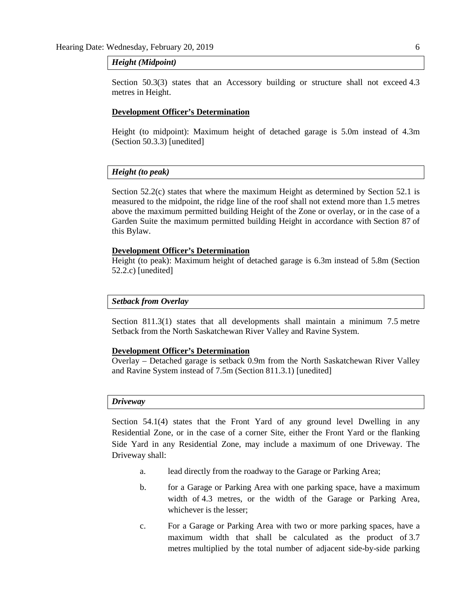#### *Height (Midpoint)*

Section 50.3(3) states that an Accessory building or structure shall not exceed [4.3](javascript:void(0);)  [me](javascript:void(0);)tres in Height.

### **Development Officer's Determination**

Height (to midpoint): Maximum height of detached garage is 5.0m instead of 4.3m (Section 50.3.3) [unedited]

### *Height (to peak)*

Section 52.2(c) states that where the maximum Height as determined by Section 52.1 is measured to the midpoint, the ridge line of the roof shall not extend more than [1.5](javascript:void(0);) metres above the maximum permitted building Height of the Zone or overlay, or in the case of a Garden Suite the maximum permitted building Height in accordance with [Section 87](http://webdocs.edmonton.ca/InfraPlan/zoningbylaw/ZoningBylaw/Part1/Special_Land/87_Garage_and_Garden_Suites.htm) of this Bylaw.

### **Development Officer's Determination**

Height (to peak): Maximum height of detached garage is 6.3m instead of 5.8m (Section 52.2.c) [unedited]

#### *Setback from Overlay*

Section 811.3(1) states that all developments shall maintain a minimum 7.5 metre Setback from the North Saskatchewan River Valley and Ravine System.

#### **Development Officer's Determination**

Overlay – Detached garage is setback 0.9m from the North Saskatchewan River Valley and Ravine System instead of 7.5m (Section 811.3.1) [unedited]

## *Driveway*

Section 54.1(4) states that the Front Yard of any ground level Dwelling in any Residential Zone, or in the case of a corner Site, either the Front Yard or the flanking Side Yard in any Residential Zone, may include a maximum of one Driveway. The Driveway shall:

- a. lead directly from the roadway to the Garage or Parking Area;
- b. for a Garage or Parking Area with one parking space, have a maximum width of [4.3 me](javascript:void(0);)tres, or the width of the Garage or Parking Area, whichever is the lesser;
- c. For a Garage or Parking Area with two or more parking spaces, have a maximum width that shall be calculated as the product of [3.7](javascript:void(0);)  [me](javascript:void(0);)tres multiplied by the total number of adjacent side-by-side parking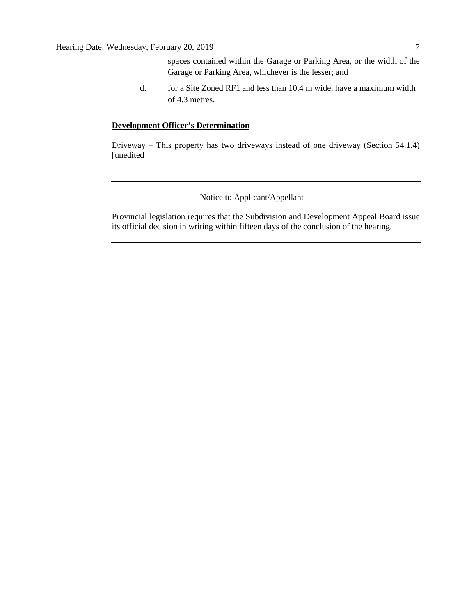spaces contained within the Garage or Parking Area, or the width of the Garage or Parking Area, whichever is the lesser; and

d. for a Site Zoned RF1 and less than [10.4 m](javascript:void(0);) wide, have a maximum width of [4.3 me](javascript:void(0);)tres.

## **Development Officer's Determination**

Driveway – This property has two driveways instead of one driveway (Section 54.1.4) [unedited]

## Notice to Applicant/Appellant

Provincial legislation requires that the Subdivision and Development Appeal Board issue its official decision in writing within fifteen days of the conclusion of the hearing.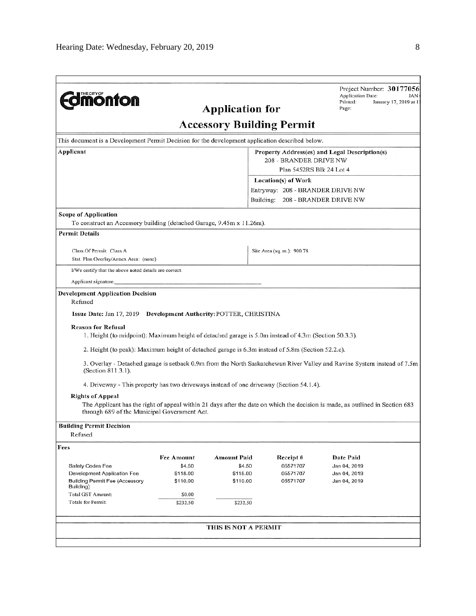| <b>dmönton</b>                                                                                                                    |                      | <b>Application for</b>           |                                                                                                     | Project Number: 30177056<br><b>Application Date:</b><br>JAN<br>Printed:<br>January 17, 2019 at 1<br>Page:                     |  |
|-----------------------------------------------------------------------------------------------------------------------------------|----------------------|----------------------------------|-----------------------------------------------------------------------------------------------------|-------------------------------------------------------------------------------------------------------------------------------|--|
|                                                                                                                                   |                      | <b>Accessory Building Permit</b> |                                                                                                     |                                                                                                                               |  |
| This document is a Development Permit Decision for the development application described below.                                   |                      |                                  |                                                                                                     |                                                                                                                               |  |
| Applicant                                                                                                                         |                      |                                  | Property Address(es) and Legal Description(s)<br>208 - BRANDER DRIVE NW<br>Plan 5452RS Blk 24 Lot 4 |                                                                                                                               |  |
|                                                                                                                                   |                      |                                  | Location(s) of Work<br>Entryway: 208 - BRANDER DRIVE NW<br>Building:                                | 208 - BRANDER DRIVE NW                                                                                                        |  |
| <b>Scope of Application</b><br>To construct an Accessory building (detached Garage, 9.45m x 11.26m).                              |                      |                                  |                                                                                                     |                                                                                                                               |  |
| <b>Permit Details</b>                                                                                                             |                      |                                  |                                                                                                     |                                                                                                                               |  |
| Class Of Permit: Class A<br>Stat. Plan Overlay/Annex Area: (none)                                                                 |                      |                                  | Site Area (sq. m.): 900.78                                                                          |                                                                                                                               |  |
| I/We certify that the above noted details are correct.                                                                            |                      |                                  |                                                                                                     |                                                                                                                               |  |
| Applicant signature:                                                                                                              |                      |                                  |                                                                                                     |                                                                                                                               |  |
| <b>Development Application Decision</b><br>Refused                                                                                |                      |                                  |                                                                                                     |                                                                                                                               |  |
| Issue Date: Jan 17, 2019 Development Authority: POTTER, CHRISTINA                                                                 |                      |                                  |                                                                                                     |                                                                                                                               |  |
| <b>Reason for Refusal</b><br>1. Height (to midpoint): Maximum height of detached garage is 5.0m instead of 4.3m (Section 50.3.3). |                      |                                  |                                                                                                     |                                                                                                                               |  |
| 2. Height (to peak): Maximum height of detached garage is 6.3m instead of 5.8m (Section 52.2.c).                                  |                      |                                  |                                                                                                     |                                                                                                                               |  |
| (Section 811.3.1).                                                                                                                |                      |                                  |                                                                                                     | 3. Overlay - Detached garage is setback 0.9m from the North Saskatchewan River Valley and Ravine System instead of 7.5m       |  |
| 4. Driveway - This property has two driveways instead of one driveway (Section 54,1.4).                                           |                      |                                  |                                                                                                     |                                                                                                                               |  |
| <b>Rights of Appeal</b><br>through 689 of the Municipal Government Act.                                                           |                      |                                  |                                                                                                     | The Applicant has the right of appeal within 21 days after the date on which the decision is made, as outlined in Section 683 |  |
| <b>Building Permit Decision</b>                                                                                                   |                      |                                  |                                                                                                     |                                                                                                                               |  |
| Refused                                                                                                                           |                      |                                  |                                                                                                     |                                                                                                                               |  |
| Fees                                                                                                                              |                      |                                  |                                                                                                     |                                                                                                                               |  |
| Safety Codes Fee                                                                                                                  | Fee Amount<br>\$4.50 | <b>Amount Paid</b><br>\$4.50     | <b>Receipt</b> #<br>05571707                                                                        | Date Paid<br>Jan 04, 2019                                                                                                     |  |
| Development Application Fee                                                                                                       | \$118.00             | \$118.00                         | 05571707                                                                                            | Jan 04, 2019                                                                                                                  |  |
| <b>Building Permit Fee (Accessory</b><br>Building)                                                                                | \$110.00             | \$110,00                         | 05571707                                                                                            | Jan 04, 2019                                                                                                                  |  |
| Total GST Amount:<br>Totals for Permit:                                                                                           | \$0.00<br>\$232.50   | \$232.50                         |                                                                                                     |                                                                                                                               |  |
|                                                                                                                                   |                      | THIS IS NOT A PERMIT             |                                                                                                     |                                                                                                                               |  |